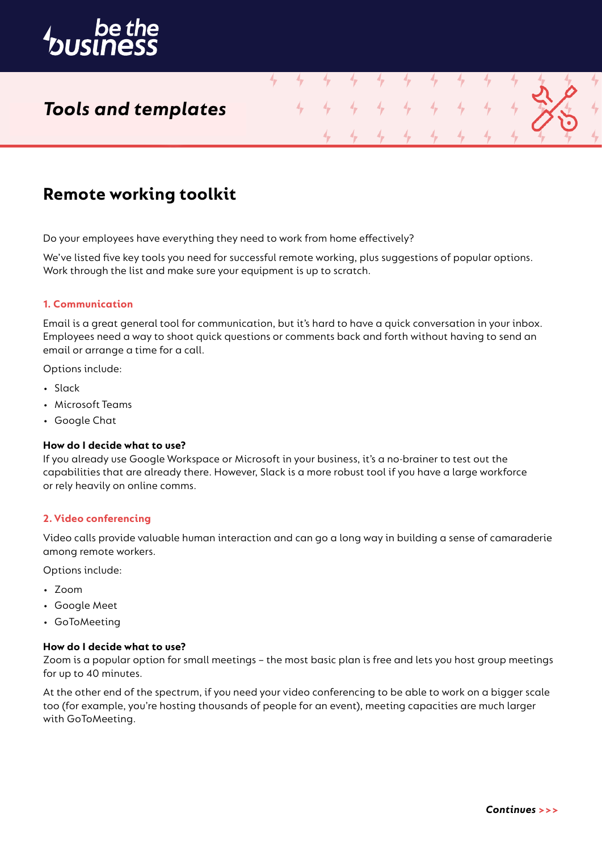

# *Tools and templates*

# **Remote working toolkit**

Do your employees have everything they need to work from home effectively?

We've listed five key tools you need for successful remote working, plus suggestions of popular options. Work through the list and make sure your equipment is up to scratch.

4

4

4

### **1. Communication**

Email is a great general tool for communication, but it's hard to have a quick conversation in your inbox. Employees need a way to shoot quick questions or comments back and forth without having to send an email or arrange a time for a call.

Options include:

- Slack
- Microsoft Teams
- Google Chat

### **How do I decide what to use?**

If you already use Google Workspace or Microsoft in your business, it's a no-brainer to test out the capabilities that are already there. However, Slack is a more robust tool if you have a large workforce or rely heavily on online comms.

### **2. Video conferencing**

Video calls provide valuable human interaction and can go a long way in building a sense of camaraderie among remote workers.

Options include:

- Zoom
- Google Meet
- GoToMeeting

# **How do I decide what to use?**

Zoom is a popular option for small meetings – the most basic plan is free and lets you host group meetings for up to 40 minutes.

At the other end of the spectrum, if you need your video conferencing to be able to work on a bigger scale too (for example, you're hosting thousands of people for an event), meeting capacities are much larger with GoToMeeting.